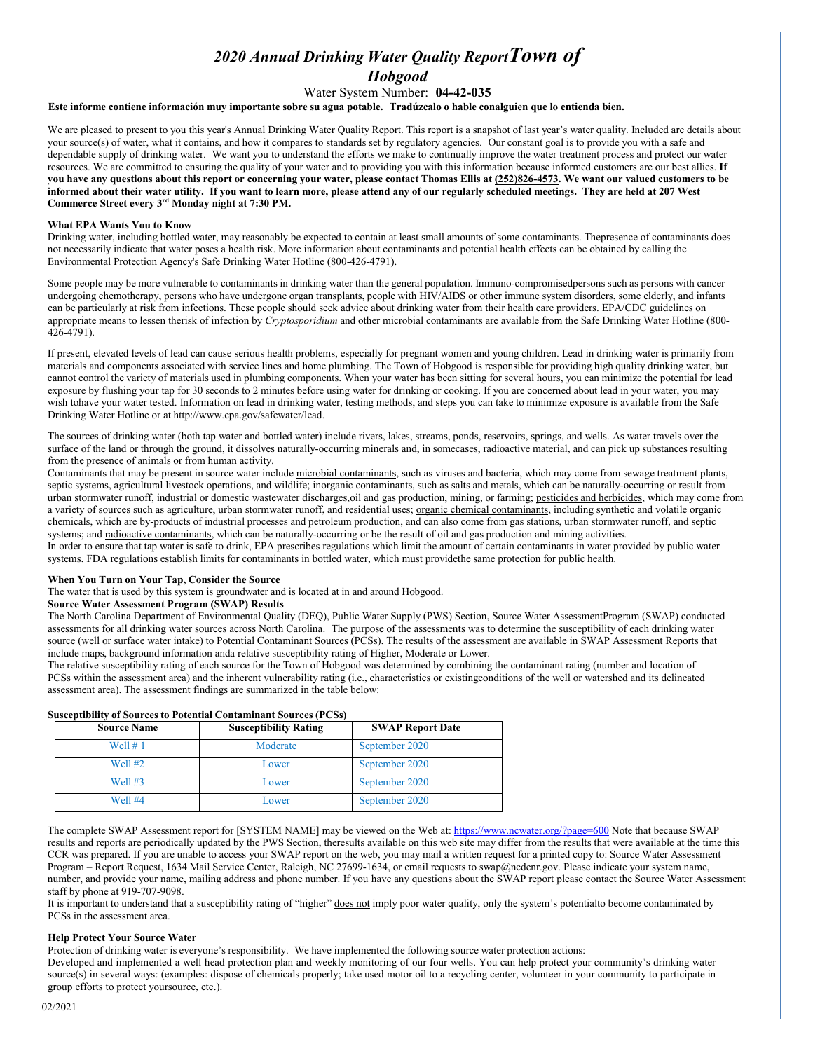# *2020 Annual Drinking Water Quality ReportTown of Hobgood*

## Water System Number: **04-42-035**

Este informe contiene información muy importante sobre su agua potable. Tradúzcalo o hable conalguien que lo entienda bien.

We are pleased to present to you this year's Annual Drinking Water Quality Report. This report is a snapshot of last year's water quality. Included are details about your source(s) of water, what it contains, and how it compares to standards set by regulatory agencies. Our constant goal is to provide you with a safe and dependable supply of drinking water. We want you to understand the efforts we make to continually improve the water treatment process and protect our water resources. We are committed to ensuring the quality of your water and to providing you with this information because informed customers are our best allies. **If you have any questions about this report or concerning your water, please contact Thomas Ellis at (252)826-4573. We want our valued customers to be informed about their water utility. If you want to learn more, please attend any of our regularly scheduled meetings. They are held at 207 West Commerce Street every 3rd Monday night at 7:30 PM.**

## **What EPA Wants You to Know**

Drinking water, including bottled water, may reasonably be expected to contain at least small amounts of some contaminants. Thepresence of contaminants does not necessarily indicate that water poses a health risk. More information about contaminants and potential health effects can be obtained by calling the Environmental Protection Agency's Safe Drinking Water Hotline (800-426-4791).

Some people may be more vulnerable to contaminants in drinking water than the general population. Immuno-compromisedpersons such as persons with cancer undergoing chemotherapy, persons who have undergone organ transplants, people with HIV/AIDS or other immune system disorders, some elderly, and infants can be particularly at risk from infections. These people should seek advice about drinking water from their health care providers. EPA/CDC guidelines on appropriate means to lessen therisk of infection by *Cryptosporidium* and other microbial contaminants are available from the Safe Drinking Water Hotline (800- 426-4791).

If present, elevated levels of lead can cause serious health problems, especially for pregnant women and young children. Lead in drinking water is primarily from materials and components associated with service lines and home plumbing. The Town of Hobgood is responsible for providing high quality drinking water, but cannot control the variety of materials used in plumbing components. When your water has been sitting for several hours, you can minimize the potential for lead exposure by flushing your tap for 30 seconds to 2 minutes before using water for drinking or cooking. If you are concerned about lead in your water, you may wish tohave your water tested. Information on lead in drinking water, testing methods, and steps you can take to minimize exposure is available from the Safe Drinking Water Hotline or at [http://www.epa.gov/safewater/lead.](http://www.epa.gov/safewater/lead)

The sources of drinking water (both tap water and bottled water) include rivers, lakes, streams, ponds, reservoirs, springs, and wells. As water travels over the surface of the land or through the ground, it dissolves naturally-occurring minerals and, in somecases, radioactive material, and can pick up substances resulting from the presence of animals or from human activity.

Contaminants that may be present in source water include microbial contaminants, such as viruses and bacteria, which may come from sewage treatment plants, septic systems, agricultural livestock operations, and wildlife; inorganic contaminants, such as salts and metals, which can be naturally-occurring or result from urban stormwater runoff, industrial or domestic wastewater discharges,oil and gas production, mining, or farming; pesticides and herbicides, which may come from a variety of sources such as agriculture, urban stormwater runoff, and residential uses; organic chemical contaminants, including synthetic and volatile organic chemicals, which are by-products of industrial processes and petroleum production, and can also come from gas stations, urban stormwater runoff, and septic systems; and radioactive contaminants, which can be naturally-occurring or be the result of oil and gas production and mining activities. In order to ensure that tap water is safe to drink, EPA prescribes regulations which limit the amount of certain contaminants in water provided by public water

systems. FDA regulations establish limits for contaminants in bottled water, which must providethe same protection for public health.

#### **When You Turn on Your Tap, Consider the Source**

The water that is used by this system is groundwater and is located at in and around Hobgood.

# **Source Water Assessment Program (SWAP) Results**

The North Carolina Department of Environmental Quality (DEQ), Public Water Supply (PWS) Section, Source Water AssessmentProgram (SWAP) conducted assessments for all drinking water sources across North Carolina. The purpose of the assessments was to determine the susceptibility of each drinking water source (well or surface water intake) to Potential Contaminant Sources (PCSs). The results of the assessment are available in SWAP Assessment Reports that include maps, background information anda relative susceptibility rating of Higher, Moderate or Lower.

The relative susceptibility rating of each source for the Town of Hobgood was determined by combining the contaminant rating (number and location of PCSs within the assessment area) and the inherent vulnerability rating (i.e., characteristics or existingconditions of the well or watershed and its delineated assessment area). The assessment findings are summarized in the table below:

#### **Susceptibility of Sources to Potential Contaminant Sources (PCSs)**

| <b>Source Name</b> | <b>Susceptibility Rating</b> | <b>SWAP Report Date</b> |
|--------------------|------------------------------|-------------------------|
| Well $# 1$         | Moderate                     | September 2020          |
| <b>Well #2</b>     | Lower                        | September 2020          |
| Well $#3$          | Lower                        | September 2020          |
| Well #4            | Lower                        | September 2020          |

The complete SWAP Assessment report for [SYSTEM NAME] may be viewed on the Web at: <https://www.ncwater.org/?page=600> Note that because SWAP results and reports are periodically updated by the PWS Section, theresults available on this web site may differ from the results that were available at the time this CCR was prepared. If you are unable to access your SWAP report on the web, you may mail a written request for a printed copy to: Source Water Assessment Program – Report Request, 1634 Mail Service Center, Raleigh, NC 27699-1634, or email requests t[o swap@ncdenr.gov.](mailto:swap@ncdenr.gov) Please indicate your system name, number, and provide your name, mailing address and phone number. If you have any questions about the SWAP report please contact the Source Water Assessment staff by phone at 919-707-9098.

It is important to understand that a susceptibility rating of "higher" does not imply poor water quality, only the system's potentialto become contaminated by PCSs in the assessment area.

## **Help Protect Your Source Water**

Protection of drinking water is everyone's responsibility. We have implemented the following source water protection actions:

Developed and implemented a well head protection plan and weekly monitoring of our four wells. You can help protect your community's drinking water source(s) in several ways: (examples: dispose of chemicals properly; take used motor oil to a recycling center, volunteer in your community to participate in group efforts to protect yoursource, etc.).